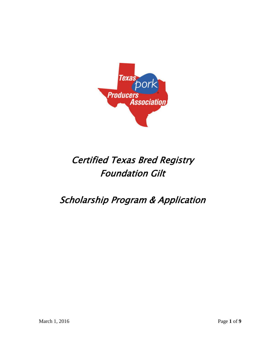

# Certified Texas Bred Registry Foundation Gilt

## Scholarship Program & Application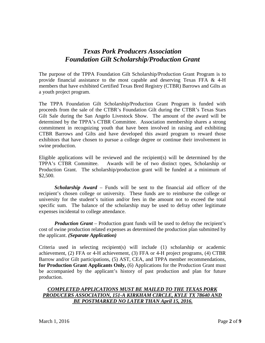#### *Texas Pork Producers Association Foundation Gilt Scholarship/Production Grant*

The purpose of the TPPA Foundation Gilt Scholarship/Production Grant Program is to provide financial assistance to the most capable and deserving Texas FFA  $\&$  4-H members that have exhibited Certified Texas Bred Registry (CTBR) Barrows and Gilts as a youth project program.

The TPPA Foundation Gilt Scholarship/Production Grant Program is funded with proceeds from the sale of the CTBR's Foundation Gilt during the CTBR's Texas Stars Gilt Sale during the San Angelo Livestock Show. The amount of the award will be determined by the TPPA's CTBR Committee. Association membership shares a strong commitment in recognizing youth that have been involved in raising and exhibiting CTBR Barrows and Gilts and have developed this award program to reward those exhibitors that have chosen to pursue a college degree or continue their involvement in swine production.

Eligible applications will be reviewed and the recipient(s) will be determined by the TPPA's CTBR Committee. Awards will be of two distinct types, Scholarship or Production Grant. The scholarship/production grant will be funded at a minimum of \$2,500.

*Scholarship Award –* Funds will be sent to the financial aid officer of the recipient's chosen college or university. These funds are to reimburse the college or university for the student's tuition and/or fees in the amount not to exceed the total specific sum. The balance of the scholarship may be used to defray other legitimate expenses incidental to college attendance.

*Production Grant* – Production grant funds will be used to defray the recipient's cost of swine production related expenses as determined the production plan submitted by the applicant. *(Separate Application)*

Criteria used in selecting recipient(s) will include (1) scholarship or academic achievement, (2) FFA or 4-H achievement, (3) FFA or 4-H project programs, (4) CTBR Barrow and/or Gilt participations, (5) AST, CEA, and TPPA member recommendations, **for Production Grant Applicants Only,** (6) Applications for the Production Grant must be accompanied by the applicant's history of past production and plan for future production.

#### *COMPLETED APPLICATIONS MUST BE MAILED TO THE TEXAS PORK PRODUCERS ASSOCIATION, 151-A KIRKHAM CIRCLE, KYLE TX 78640 AND BE POSTMARKED NO LATER THAN April 15, 2016.*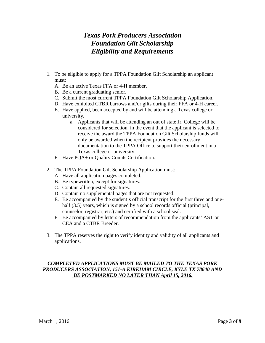## *Texas Pork Producers Association Foundation Gilt Scholarship Eligibility and Requirements*

- 1. To be eligible to apply for a TPPA Foundation Gilt Scholarship an applicant must:
	- A. Be an active Texas FFA or 4-H member.
	- B. Be a current graduating senior.
	- C. Submit the most current TPPA Foundation Gilt Scholarship Application.
	- D. Have exhibited CTBR barrows and/or gilts during their FFA or 4-H career.
	- E. Have applied, been accepted by and will be attending a Texas college or university.
		- a. Applicants that will be attending an out of state Jr. College will be considered for selection, in the event that the applicant is selected to receive the award the TPPA Foundation Gilt Scholarship funds will only be awarded when the recipient provides the necessary documentation to the TPPA Office to support their enrollment in a Texas college or university.
	- F. Have PQA+ or Quality Counts Certification.
- 2. The TPPA Foundation Gilt Scholarship Application must:
	- A. Have all application pages completed.
	- B. Be typewritten, except for signatures.
	- C. Contain all requested signatures.
	- D. Contain no supplemental pages that are not requested.
	- E. Be accompanied by the student's official transcript for the first three and onehalf (3.5) years, which is signed by a school records official (principal, counselor, registrar, etc.) and certified with a school seal.
	- F. Be accompanied by letters of recommendation from the applicants' AST or CEA and a CTBR Breeder.
- 3. The TPPA reserves the right to verify identity and validity of all applicants and applications.

#### *COMPLETED APPLICATIONS MUST BE MAILED TO THE TEXAS PORK PRODUCERS ASSOCIATION, 151-A KIRKHAM CIRCLE, KYLE TX 78640 AND BE POSTMARKED NO LATER THAN April 15, 2016.*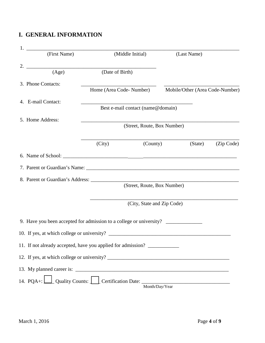#### **I. GENERAL INFORMATION**

|                  | (First Name)                                                                     |                                   | (Middle Initial)            | (Last Name)                     |  |  |
|------------------|----------------------------------------------------------------------------------|-----------------------------------|-----------------------------|---------------------------------|--|--|
|                  |                                                                                  |                                   |                             |                                 |  |  |
|                  | (Age)                                                                            | (Date of Birth)                   |                             |                                 |  |  |
|                  | 3. Phone Contacts:                                                               |                                   |                             |                                 |  |  |
|                  |                                                                                  | Home (Area Code-Number)           |                             | Mobile/Other (Area Code-Number) |  |  |
|                  | 4. E-mail Contact:                                                               |                                   |                             |                                 |  |  |
|                  |                                                                                  | Best e-mail contact (name@domain) |                             |                                 |  |  |
| 5. Home Address: |                                                                                  |                                   |                             |                                 |  |  |
|                  |                                                                                  |                                   | (Street, Route, Box Number) |                                 |  |  |
|                  |                                                                                  |                                   |                             |                                 |  |  |
|                  |                                                                                  | (City)                            | (County)                    | (State)<br>(Zip Code)           |  |  |
|                  |                                                                                  |                                   |                             |                                 |  |  |
|                  |                                                                                  |                                   |                             |                                 |  |  |
|                  |                                                                                  |                                   |                             |                                 |  |  |
|                  |                                                                                  |                                   | (Street, Route, Box Number) |                                 |  |  |
|                  |                                                                                  |                                   | (City, State and Zip Code)  |                                 |  |  |
|                  | 9. Have you been accepted for admission to a college or university? ____________ |                                   |                             |                                 |  |  |
|                  |                                                                                  |                                   |                             |                                 |  |  |
|                  | 10. If yes, at which college or university?                                      |                                   |                             |                                 |  |  |
|                  | 11. If not already accepted, have you applied for admission?                     |                                   |                             |                                 |  |  |
|                  |                                                                                  |                                   |                             |                                 |  |  |
|                  |                                                                                  |                                   |                             |                                 |  |  |
|                  |                                                                                  |                                   |                             |                                 |  |  |
|                  |                                                                                  |                                   |                             | Month/Day/Year                  |  |  |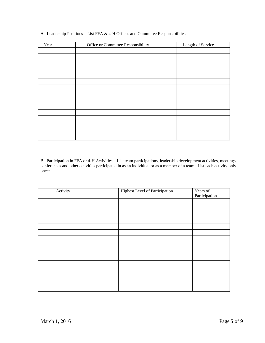| Year | Office or Committee Responsibility | Length of Service |
|------|------------------------------------|-------------------|
|      |                                    |                   |
|      |                                    |                   |
|      |                                    |                   |
|      |                                    |                   |
|      |                                    |                   |
|      |                                    |                   |
|      |                                    |                   |
|      |                                    |                   |
|      |                                    |                   |
|      |                                    |                   |
|      |                                    |                   |
|      |                                    |                   |
|      |                                    |                   |
|      |                                    |                   |
|      |                                    |                   |
|      |                                    |                   |

A. Leadership Positions – List FFA & 4-H Offices and Committee Responsibilities

B. Participation in FFA or 4-H Activities – List team participations, leadership development activities, meetings, conferences and other activities participated in as an individual or as a member of a team. List each activity only once:

| Activity | <b>Highest Level of Participation</b> | Years of<br>Participation |
|----------|---------------------------------------|---------------------------|
|          |                                       |                           |
|          |                                       |                           |
|          |                                       |                           |
|          |                                       |                           |
|          |                                       |                           |
|          |                                       |                           |
|          |                                       |                           |
|          |                                       |                           |
|          |                                       |                           |
|          |                                       |                           |
|          |                                       |                           |
|          |                                       |                           |
|          |                                       |                           |
|          |                                       |                           |
|          |                                       |                           |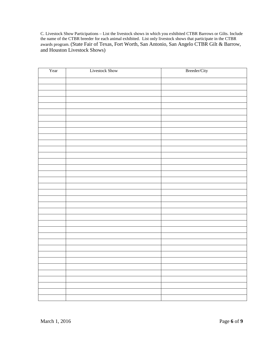C. Livestock Show Participations – List the livestock shows in which you exhibited CTBR Barrows or Gilts. Include the name of the CTBR breeder for each animal exhibited. List only livestock shows that participate in the CTBR awards program. (State Fair of Texas, Fort Worth, San Antonio, San Angelo CTBR Gilt & Barrow, and Houston Livestock Shows)

| Year | <b>Livestock Show</b> | Breeder/City |
|------|-----------------------|--------------|
|      |                       |              |
|      |                       |              |
|      |                       |              |
|      |                       |              |
|      |                       |              |
|      |                       |              |
|      |                       |              |
|      |                       |              |
|      |                       |              |
|      |                       |              |
|      |                       |              |
|      |                       |              |
|      |                       |              |
|      |                       |              |
|      |                       |              |
|      |                       |              |
|      |                       |              |
|      |                       |              |
|      |                       |              |
|      |                       |              |
|      |                       |              |
|      |                       |              |
|      |                       |              |
|      |                       |              |
|      |                       |              |
|      |                       |              |
|      |                       |              |
|      |                       |              |
|      |                       |              |
|      |                       |              |
|      |                       |              |
|      |                       |              |
|      |                       |              |
|      |                       |              |
|      |                       |              |
|      |                       |              |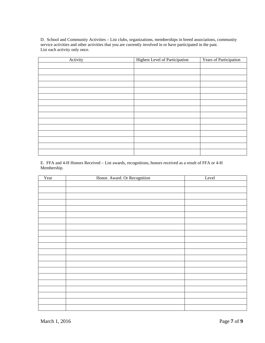D. School and Community Activities – List clubs, organizations, memberships in breed associations, community service activities and other activities that you are currently involved in or have participated in the past. List each activity only once.

| Activity | Highest Level of Participation | Years of Participation |
|----------|--------------------------------|------------------------|
|          |                                |                        |
|          |                                |                        |
|          |                                |                        |
|          |                                |                        |
|          |                                |                        |
|          |                                |                        |
|          |                                |                        |
|          |                                |                        |
|          |                                |                        |
|          |                                |                        |
|          |                                |                        |
|          |                                |                        |
|          |                                |                        |
|          |                                |                        |
|          |                                |                        |

E. FFA and 4-H Honors Received – List awards, recognitions, honors received as a result of FFA or 4-H Membership.

| Year | Honor. Award. Or Recognition | Level |
|------|------------------------------|-------|
|      |                              |       |
|      |                              |       |
|      |                              |       |
|      |                              |       |
|      |                              |       |
|      |                              |       |
|      |                              |       |
|      |                              |       |
|      |                              |       |
|      |                              |       |
|      |                              |       |
|      |                              |       |
|      |                              |       |
|      |                              |       |
|      |                              |       |
|      |                              |       |
|      |                              |       |
|      |                              |       |
|      |                              |       |
|      |                              |       |
|      |                              |       |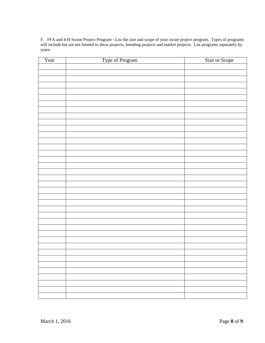F. FFA and 4-H Swine Project Program - List the size and scope of your swine project program. Types of programs will include but are not limited to show projects, breeding projects and market projects. List programs separately by years:

| Year | Type of Program | Size or Scope |
|------|-----------------|---------------|
|      |                 |               |
|      |                 |               |
|      |                 |               |
|      |                 |               |
|      |                 |               |
|      |                 |               |
|      |                 |               |
|      |                 |               |
|      |                 |               |
|      |                 |               |
|      |                 |               |
|      |                 |               |
|      |                 |               |
|      |                 |               |
|      |                 |               |
|      |                 |               |
|      |                 |               |
|      |                 |               |
|      |                 |               |
|      |                 |               |
|      |                 |               |
|      |                 |               |
|      |                 |               |
|      |                 |               |
|      |                 |               |
|      |                 |               |
|      |                 |               |
|      |                 |               |
|      |                 |               |
|      |                 |               |
|      |                 |               |
|      |                 |               |
|      |                 |               |
|      |                 |               |
|      |                 |               |
|      |                 |               |
|      |                 |               |
|      |                 |               |